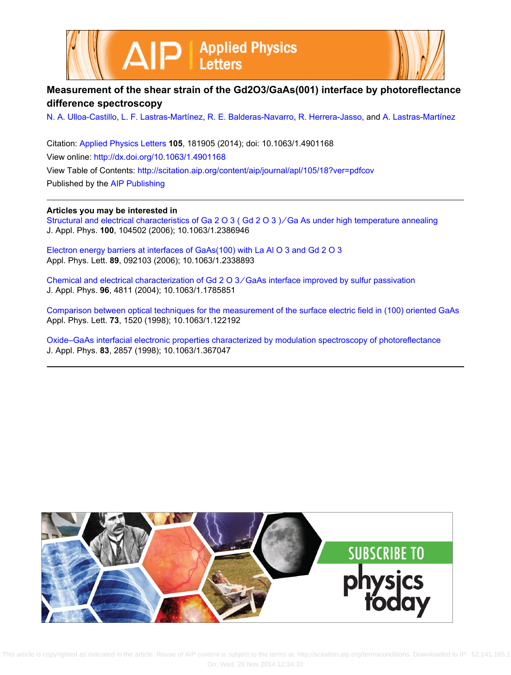



## **Measurement of the shear strain of the Gd2O3/GaAs(001) interface by photoreflectance difference spectroscopy**

[N. A. Ulloa-Castillo,](http://scitation.aip.org/search?value1=N.+A.+Ulloa-Castillo&option1=author) [L. F. Lastras-Martínez](http://scitation.aip.org/search?value1=L.+F.+Lastras-Mart�nez&option1=author), [R. E. Balderas-Navarro,](http://scitation.aip.org/search?value1=R.+E.+Balderas-Navarro&option1=author) [R. Herrera-Jasso,](http://scitation.aip.org/search?value1=R.+Herrera-Jasso&option1=author) and [A. Lastras-Martínez](http://scitation.aip.org/search?value1=A.+Lastras-Mart�nez&option1=author)

Citation: [Applied Physics Letters](http://scitation.aip.org/content/aip/journal/apl?ver=pdfcov) **105**, 181905 (2014); doi: 10.1063/1.4901168 View online: <http://dx.doi.org/10.1063/1.4901168> View Table of Contents: <http://scitation.aip.org/content/aip/journal/apl/105/18?ver=pdfcov> Published by the [AIP Publishing](http://scitation.aip.org/content/aip?ver=pdfcov)

**Articles you may be interested in**

[Structural and electrical characteristics of Ga 2 O 3 \( Gd 2 O 3 \) ∕ Ga As under high temperature annealing](http://scitation.aip.org/content/aip/journal/jap/100/10/10.1063/1.2386946?ver=pdfcov) J. Appl. Phys. **100**, 104502 (2006); 10.1063/1.2386946

[Electron energy barriers at interfaces of GaAs\(100\) with La Al O 3 and Gd 2 O 3](http://scitation.aip.org/content/aip/journal/apl/89/9/10.1063/1.2338893?ver=pdfcov) Appl. Phys. Lett. **89**, 092103 (2006); 10.1063/1.2338893

[Chemical and electrical characterization of Gd 2 O 3 ∕ GaAs interface improved by sulfur passivation](http://scitation.aip.org/content/aip/journal/jap/96/9/10.1063/1.1785851?ver=pdfcov) J. Appl. Phys. **96**, 4811 (2004); 10.1063/1.1785851

[Comparison between optical techniques for the measurement of the surface electric field in \(100\) oriented GaAs](http://scitation.aip.org/content/aip/journal/apl/73/11/10.1063/1.122192?ver=pdfcov) Appl. Phys. Lett. **73**, 1520 (1998); 10.1063/1.122192

[Oxide–GaAs interfacial electronic properties characterized by modulation spectroscopy of photoreflectance](http://scitation.aip.org/content/aip/journal/jap/83/5/10.1063/1.367047?ver=pdfcov) J. Appl. Phys. **83**, 2857 (1998); 10.1063/1.367047



 This article is copyrighted as indicated in the article. Reuse of AIP content is subject to the terms at: http://scitation.aip.org/termsconditions. Downloaded to IP: 62.141.165.1 On: Wed, 26 Nov 2014 12:34:33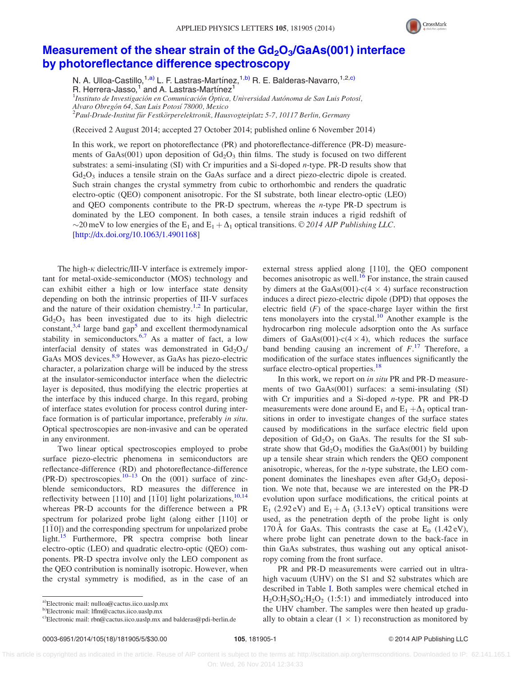

## Measurement of the shear strain of the  $Gd_2O_3/GaAs(001)$  interface [by photoreflectance difference spectroscopy](http://dx.doi.org/10.1063/1.4901168)

N. A. Ulloa-Castillo,<sup>1,a)</sup> L. F. Lastras-Martínez,<sup>1,b)</sup> R. E. Balderas-Navarro,<sup>1,2,c)</sup> R. Herrera-Jasso, $1$  and A. Lastras-Martinez $1$ 

 $^1$ Instituto de Investigación en Comunicación Óptica, Universidad Autónoma de San Luis Potosí, Alvaro Obregón 64, San Luis Potosí 78000, Mexico<br><sup>2</sup> Paul Drude Institut für Eestkörnerelektronik, Haw

 $P<sup>2</sup>$ Paul-Drude-Institut für Festkörperelektronik, Hausvogteiplatz 5-7, 10117 Berlin, Germany

(Received 2 August 2014; accepted 27 October 2014; published online 6 November 2014)

In this work, we report on photoreflectance (PR) and photoreflectance-difference (PR-D) measurements of GaAs(001) upon deposition of  $Gd_2O_3$  thin films. The study is focused on two different substrates: a semi-insulating (SI) with Cr impurities and a Si-doped n-type. PR-D results show that  $Gd<sub>2</sub>O<sub>3</sub>$  induces a tensile strain on the GaAs surface and a direct piezo-electric dipole is created. Such strain changes the crystal symmetry from cubic to orthorhombic and renders the quadratic electro-optic (QEO) component anisotropic. For the SI substrate, both linear electro-optic (LEO) and QEO components contribute to the PR-D spectrum, whereas the *n*-type PR-D spectrum is dominated by the LEO component. In both cases, a tensile strain induces a rigid redshift of  $\sim$ 20 meV to low energies of the E<sub>1</sub> and E<sub>1</sub> +  $\Delta$ <sub>1</sub> optical transitions. © 2014 AIP Publishing LLC. [\[http://dx.doi.org/10.1063/1.4901168](http://dx.doi.org/10.1063/1.4901168)]

The high- $\kappa$  dielectric/III-V interface is extremely important for metal-oxide-semiconductor (MOS) technology and can exhibit either a high or low interface state density depending on both the intrinsic properties of III-V surfaces and the nature of their oxidation chemistry.<sup>[1,2](#page-4-0)</sup> In particular,  $Gd<sub>2</sub>O<sub>3</sub>$  has been investigated due to its high dielectric constant, $3,4$  large band gap<sup>[5](#page-4-0)</sup> and excellent thermodynamical stability in semiconductors.<sup>[6,7](#page-4-0)</sup> As a matter of fact, a low interfacial density of states was demonstrated in  $Gd_2O_3/$ GaAs MOS devices.<sup>[8,9](#page-4-0)</sup> However, as GaAs has piezo-electric character, a polarization charge will be induced by the stress at the insulator-semiconductor interface when the dielectric layer is deposited, thus modifying the electric properties at the interface by this induced charge. In this regard, probing of interface states evolution for process control during interface formation is of particular importance, preferably in situ. Optical spectroscopies are non-invasive and can be operated in any environment.

Two linear optical spectroscopies employed to probe surface piezo-electric phenomena in semiconductors are reflectance-difference (RD) and photoreflectance-difference (PR-D) spectroscopies.<sup>[10](#page-4-0)[–13](#page-5-0)</sup> On the (001) surface of zincblende semiconductors, RD measures the difference in reflectivity between [1[10](#page-4-0)] and [110] light polarizations,  $^{10,14}$  $^{10,14}$  $^{10,14}$ whereas PR-D accounts for the difference between a PR spectrum for polarized probe light (along either [110] or  $[1\bar{1}0]$ ) and the corresponding spectrum for unpolarized probe light.<sup>[15](#page-5-0)</sup> Furthermore, PR spectra comprise both linear electro-optic (LEO) and quadratic electro-optic (QEO) components. PR-D spectra involve only the LEO component as the QEO contribution is nominally isotropic. However, when the crystal symmetry is modified, as in the case of an external stress applied along [110], the QEO component becomes anisotropic as well.<sup>[16](#page-5-0)</sup> For instance, the strain caused by dimers at the GaAs(001)-c(4  $\times$  4) surface reconstruction induces a direct piezo-electric dipole (DPD) that opposes the electric field  $(F)$  of the space-charge layer within the first tens monolayers into the crystal. $10$  Another example is the hydrocarbon ring molecule adsorption onto the As surface dimers of GaAs(001)-c( $4 \times 4$ ), which reduces the surface band bending causing an increment of  $F<sup>17</sup>$  $F<sup>17</sup>$  $F<sup>17</sup>$ . Therefore, a modification of the surface states influences significantly the surface electro-optical properties.<sup>[18](#page-5-0)</sup>

In this work, we report on *in situ* PR and PR-D measurements of two GaAs(001) surfaces: a semi-insulating (SI) with Cr impurities and a Si-doped *n*-type. PR and PR-D measurements were done around  $E_1$  and  $E_1 + \Delta_1$  optical transitions in order to investigate changes of the surface states caused by modifications in the surface electric field upon deposition of  $Gd_2O_3$  on GaAs. The results for the SI substrate show that  $Gd_2O_3$  modifies the  $GaAs(001)$  by building up a tensile shear strain which renders the QEO component anisotropic, whereas, for the n-type substrate, the LEO component dominates the lineshapes even after  $Gd_2O_3$  deposition. We note that, because we are interested on the PR-D evolution upon surface modifications, the critical points at E<sub>1</sub> (2.92 eV) and E<sub>1</sub> +  $\Delta$ <sub>1</sub> (3.13 eV) optical transitions were used, as the penetration depth of the probe light is only 170 Å for GaAs. This contrasts the case at  $E_0$  (1.42 eV), where probe light can penetrate down to the back-face in thin GaAs substrates, thus washing out any optical anisotropy coming from the front surface.

PR and PR-D measurements were carried out in ultrahigh vacuum (UHV) on the S1 and S2 substrates which are described in Table [I](#page-2-0). Both samples were chemical etched in  $H_2O:H_2SO_4:H_2O_2$  (1:5:1) and immediately introduced into the UHV chamber. The samples were then heated up gradually to obtain a clear  $(1 \times 1)$  reconstruction as monitored by

<sup>&</sup>lt;sup>a)</sup>Electronic mail: [nulloa@cactus.iico.uaslp.mx](mailto:nulloa@cactus.iico.uaslp.mx)

b)Electronic mail: [lflm@cactus.iico.uaslp.mx](mailto:lflm@cactus.iico.uaslp.mx)

c)Electronic mail: [rbn@cactus.iico.uaslp.mx](mailto:rbn@cactus.iico.uaslp.mx) and [balderas@pdi-berlin.de](mailto:balderas@pdi-berlin.de)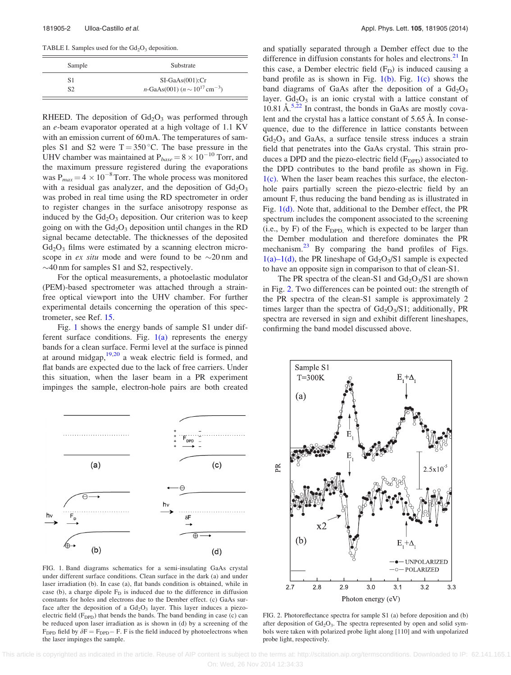<span id="page-2-0"></span>TABLE I. Samples used for the  $Gd_2O_3$  deposition.

| Sample         | Substrate                                               |  |
|----------------|---------------------------------------------------------|--|
| S1             | $SI-GaAs(001)$ : $Cr$                                   |  |
| S <sub>2</sub> | $n\text{-GaAs}(001)$ $(n \sim 10^{17} \text{ cm}^{-3})$ |  |

RHEED. The deposition of  $Gd<sub>2</sub>O<sub>3</sub>$  was performed through an e-beam evaporator operated at a high voltage of 1.1 KV with an emission current of 60 mA. The temperatures of samples S1 and S2 were  $T = 350$  °C. The base pressure in the UHV chamber was maintained at  $P_{base} = 8 \times 10^{-10}$  Torr, and the maximum pressure registered during the evaporations was  $P_{max} = 4 \times 10^{-8}$  Torr. The whole process was monitored with a residual gas analyzer, and the deposition of  $Gd_2O_3$ was probed in real time using the RD spectrometer in order to register changes in the surface anisotropy response as induced by the  $Gd<sub>2</sub>O<sub>3</sub>$  deposition. Our criterion was to keep going on with the  $Gd_2O_3$  deposition until changes in the RD signal became detectable. The thicknesses of the deposited  $Gd<sub>2</sub>O<sub>3</sub>$  films were estimated by a scanning electron microscope in *ex situ* mode and were found to be  $\sim 20 \text{ nm}$  and  $\sim$ 40 nm for samples S1 and S2, respectively.

For the optical measurements, a photoelastic modulator (PEM)-based spectrometer was attached through a strainfree optical viewport into the UHV chamber. For further experimental details concerning the operation of this spectrometer, see Ref. [15.](#page-5-0)

Fig. 1 shows the energy bands of sample S1 under different surface conditions. Fig.  $1(a)$  represents the energy bands for a clean surface. Fermi level at the surface is pinned at around midgap,  $19,20$  a weak electric field is formed, and flat bands are expected due to the lack of free carriers. Under this situation, when the laser beam in a PR experiment impinges the sample, electron-hole pairs are both created



FIG. 1. Band diagrams schematics for a semi-insulating GaAs crystal under different surface conditions. Clean surface in the dark (a) and under laser irradiation (b). In case (a), flat bands condition is obtained, while in case (b), a charge dipole  $F<sub>D</sub>$  is induced due to the difference in diffusion constants for holes and electrons due to the Dember effect. (c) GaAs surface after the deposition of a  $Gd_2O_3$  layer. This layer induces a piezoelectric field  $(F_{DPD})$  that bends the bands. The band bending in case (c) can be reduced upon laser irradiation as is shown in (d) by a screening of the  $F_{\text{DPD}}$  field by  $\delta F = F_{\text{DPD}} - F$ . F is the field induced by photoelectrons when the laser impinges the sample.

and spatially separated through a Dember effect due to the difference in diffusion constants for holes and electrons.<sup>[21](#page-5-0)</sup> In this case, a Dember electric field  $(F<sub>D</sub>)$  is induced causing a band profile as is shown in Fig.  $1(b)$ . Fig.  $1(c)$  shows the band diagrams of GaAs after the deposition of a  $Gd_2O_3$ layer.  $Gd_2O_3$  is an ionic crystal with a lattice constant of  $10.81 \text{ Å}^{5,22}$  $10.81 \text{ Å}^{5,22}$  $10.81 \text{ Å}^{5,22}$  $10.81 \text{ Å}^{5,22}$  In contrast, the bonds in GaAs are mostly covalent and the crystal has a lattice constant of 5.65 Å. In consequence, due to the difference in lattice constants between  $Gd<sub>2</sub>O<sub>3</sub>$  and GaAs, a surface tensile stress induces a strain field that penetrates into the GaAs crystal. This strain produces a DPD and the piezo-electric field  $(F_{\text{DPD}})$  associated to the DPD contributes to the band profile as shown in Fig.  $1(c)$ . When the laser beam reaches this surface, the electonhole pairs partially screen the piezo-electric field by an amount F, thus reducing the band bending as is illustrated in Fig. 1(d). Note that, additional to the Dember effect, the PR spectrum includes the component associated to the screening (i.e., by F) of the  $F_{\text{DPD}}$ , which is expected to be larger than the Dember modulation and therefore dominates the PR mechanism.<sup>[23](#page-5-0)</sup> By comparing the band profiles of Figs.  $1(a)-1(d)$ , the PR lineshape of  $Gd<sub>2</sub>O<sub>3</sub>/S1$  sample is expected to have an opposite sign in comparison to that of clean-S1.

The PR spectra of the clean-S1 and  $Gd_2O_3/S1$  are shown in Fig. 2. Two differences can be pointed out: the strength of the PR spectra of the clean-S1 sample is approximately 2 times larger than the spectra of  $Gd_2O_3/S1$ ; additionally, PR spectra are reversed in sign and exhibit different lineshapes, confirming the band model discussed above.



FIG. 2. Photoreflectance spectra for sample S1 (a) before deposition and (b) after deposition of  $Gd<sub>2</sub>O<sub>3</sub>$ . The spectra represented by open and solid symbols were taken with polarized probe light along [110] and with unpolarized probe light, respectively.

This article is copyrighted as indicated in the article. Reuse of AIP content is subject to the terms at: http://scitation.aip.org/termsconditions. Downloaded to IP: 62.141.165.1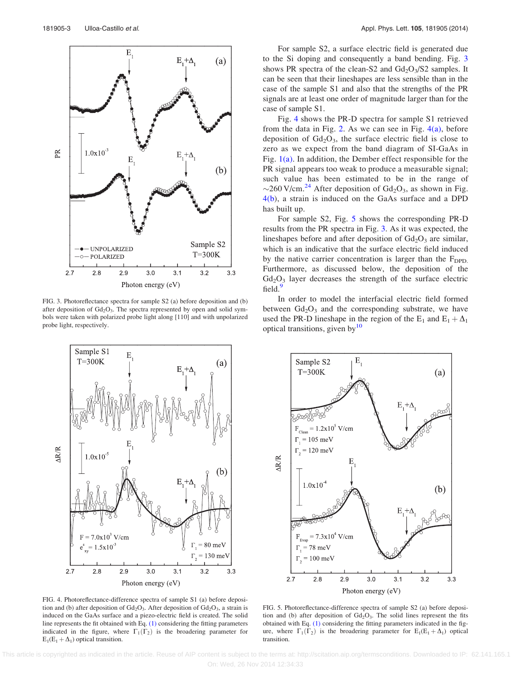<span id="page-3-0"></span>

FIG. 3. Photoreflectance spectra for sample S2 (a) before deposition and (b) after deposition of  $Gd_2O_3$ . The spectra represented by open and solid symbols were taken with polarized probe light along [110] and with unpolarized probe light, respectively.



FIG. 4. Photoreflectance-difference spectra of sample S1 (a) before deposition and (b) after deposition of  $Gd_2O_3$ . After deposition of  $Gd_2O_3$ , a strain is induced on the GaAs surface and a piezo-electric field is created. The solid line represents the fit obtained with Eq. (1) considering the fitting parameters indicated in the figure, where  $\Gamma_1(\Gamma_2)$  is the broadering parameter for  $E_1(E_1 + \Delta_1)$  optical transition.

For sample S2, a surface electric field is generated due to the Si doping and consequently a band bending. Fig. 3 shows PR spectra of the clean-S2 and  $Gd_2O_3/S2$  samples. It can be seen that their lineshapes are less sensible than in the case of the sample S1 and also that the strengths of the PR signals are at least one order of magnitude larger than for the case of sample S1.

Fig. 4 shows the PR-D spectra for sample S1 retrieved from the data in Fig. [2](#page-2-0). As we can see in Fig.  $4(a)$ , before deposition of  $Gd_2O_3$ , the surface electric field is close to zero as we expect from the band diagram of SI-GaAs in Fig.  $1(a)$ . In addition, the Dember effect responsible for the PR signal appears too weak to produce a measurable signal; such value has been estimated to be in the range of  $\sim$ 260 V/cm.<sup>[24](#page-5-0)</sup> After deposition of Gd<sub>2</sub>O<sub>3</sub>, as shown in Fig. 4(b), a strain is induced on the GaAs surface and a DPD has built up.

For sample S2, Fig. 5 shows the corresponding PR-D results from the PR spectra in Fig. 3. As it was expected, the lineshapes before and after deposition of  $Gd_2O_3$  are similar, which is an indicative that the surface electric field induced by the native carrier concentration is larger than the  $F_{\text{DPD}}$ . Furthermore, as discussed below, the deposition of the  $Gd<sub>2</sub>O<sub>3</sub>$  layer decreases the strength of the surface electric field.

In order to model the interfacial electric field formed between  $Gd_2O_3$  and the corresponding substrate, we have used the PR-D lineshape in the region of the  $E_1$  and  $E_1 + \Delta_1$ optical transitions, given by $10$ 



FIG. 5. Photoreflectance-difference spectra of sample S2 (a) before deposition and (b) after deposition of  $Gd_2O_3$ . The solid lines represent the fits obtained with Eq. (1) considering the fitting parameters indicated in the figure, where  $\Gamma_1(\Gamma_2)$  is the broadering parameter for  $E_1(E_1 + \Delta_1)$  optical transition.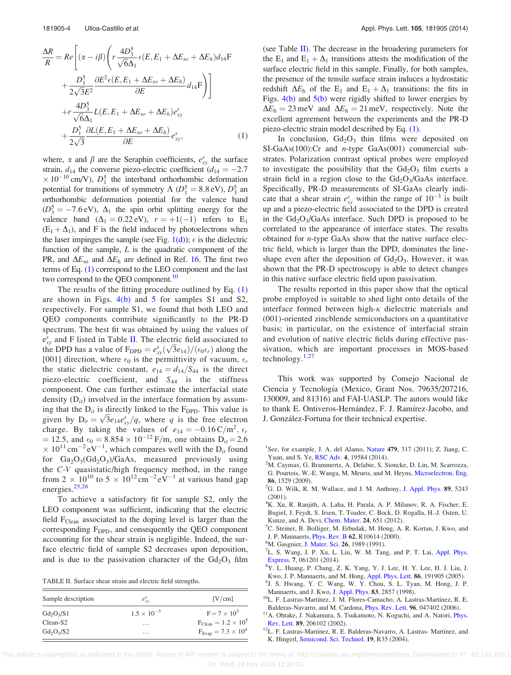<span id="page-4-0"></span>
$$
\frac{\Delta R}{R} = Re \left[ (\alpha - i\beta) \left( r \frac{4D_3^5}{\sqrt{6}\Delta_1} \epsilon (E, E_1 + \Delta E_{so} + \Delta E_h) d_{14} F \right. \right. \\
\left. + \frac{D_1^5}{2\sqrt{3}E^2} \frac{\partial E^2 \epsilon (E, E_1 + \Delta E_{so} + \Delta E_h)}{\partial E} d_{14} F \right) \right] \\
\left. + r \frac{4D_3^5}{\sqrt{6}\Delta_1} L(E, E_1 + \Delta E_{so} + \Delta E_h) e_{xy}^s \right. \\
\left. + \frac{D_1^5}{2\sqrt{3}} \frac{\partial L(E, E_1 + \Delta E_{so} + \Delta E_h)}{\partial E} e_{xy}^s, \right. \tag{1}
$$

where,  $\alpha$  and  $\beta$  are the Seraphin coefficients,  $e_{xy}^s$  the surface strain,  $d_{14}$  the converse piezo-electric coefficient  $(d_{14} = -2.7)$  $\times 10^{-10}$  cm/V),  $D_1^5$  the interband orthorhombic deformation potential for transitions of symmetry  $\Lambda$  ( $D_1^5 = 8.8 \text{ eV}$ ),  $D_3^5$  an orthorhombic deformation potential for the valence band  $(D_3^5 = -7.6 \text{ eV})$ ,  $\Delta_1$  the spin orbit splitting energy for the valence band  $(\Delta_1 = 0.22 \text{ eV})$ ,  $r = +1(-1)$  refers to E<sub>1</sub>  $(E_1 + \Delta_1)$ , and F is the field induced by photoelectrons when the laser impinges the sample (see Fig.  $1(d)$ );  $\epsilon$  is the dielectric function of the sample,  $L$  is the quadratic component of the PR, and  $\Delta E_{\rm so}$  and  $\Delta E_{\rm h}$  are defined in Ref. [16](#page-5-0). The first two terms of Eq. [\(1\)](#page-3-0) correspond to the LEO component and the last two correspond to the QEO component.<sup>10</sup>

The results of the fitting procedure outlined by Eq. [\(1\)](#page-3-0) are shown in Figs.  $4(b)$  and [5](#page-3-0) for samples S1 and S2, respectively. For sample S1, we found that both LEO and QEO components contribute significantly to the PR-D spectrum. The best fit was obtained by using the values of  $e_{xy}^s$  and F listed in Table II. The electric field associated to  $e_{xy}$  and F instead in Table II. The electric field associated to the DPD has a value of  $F_{\text{DPD}} = e_{xy}^s(\sqrt{3}e_{14})/(e_0 \epsilon_r)$  along the [001] direction, where  $\epsilon_0$  is the permittivity of vacuum,  $\epsilon_r$ the static dielectric constant,  $e_{14} = d_{14}/S_{44}$  is the direct piezo-electric coefficient, and  $S_{44}$  is the stiffness component. One can further estimate the interfacial state density  $(D_{it})$  involved in the interface formation by assuming that the  $D_{it}$  is directly linked to the  $F_{\text{DPD}}$ . This value is ing that the  $D_{it}$  is directly linked to the F<sub>DPD</sub>. This value is<br>given by  $D_{it} = \sqrt{3}e_{14}e_{xy}^{s}/q$ , where q is the free electron charge. By taking the values of  $e_{14} = -0.16 \text{ C/m}^2$ ,  $\epsilon_r$  $= 12.5$ , and  $\epsilon_0 = 8.854 \times 10^{-12}$  F/m, one obtains D<sub>it</sub> = 2.6  $\times 10^{11}$  cm<sup>-2</sup> eV<sup>-1</sup>, which compares well with the D<sub>it</sub> found for  $Ga_2O_3(Gd_2O_3)/GaAs$ , measured previously using the C-V quasistatic/high frequency method, in the range from  $2 \times 10^{10}$  to  $5 \times 10^{12}$  cm<sup>-2</sup> eV<sup>-1</sup> at various band gap energies.<sup>[25,26](#page-5-0)</sup>

To achieve a satisfactory fit for sample S2, only the LEO component was sufficient, indicating that the electric field  $F_{\text{Clear}}$  associated to the doping level is larger than the corresponding F<sub>DPD</sub>, and consequently the QEO component accounting for the shear strain is negligible. Indeed, the surface electric field of sample S2 decreases upon deposition, and is due to the passivation character of the  $Gd_2O_3$  film

TABLE II. Surface shear strain and electric field strengths.

| Sample description | $e_{xy}^{\rm s}$     | [V/cm]                               |
|--------------------|----------------------|--------------------------------------|
| $Gd_2O_3/S1$       | $1.5 \times 10^{-3}$ | $F = 7 \times 10^3$                  |
| $Clean-S2$         | $\cdots$             | $F_{\text{Clean}} = 1.2 \times 10^5$ |
| $Gd_2O_3/S2$       | $\cdots$             | $F_{Evap} = 7.3 \times 10^4$         |

(see Table II). The decrease in the broadering parameters for the  $E_1$  and  $E_1 + \Delta_1$  transitions attests the modification of the surface electric field in this sample. Finally, for both samples, the presence of the tensile surface strain induces a hydrostatic redshift  $\Delta E_h$  of the E<sub>1</sub> and E<sub>1</sub> +  $\Delta_1$  transitions: the fits in Figs.  $4(b)$  and  $5(b)$  were rigidly shifted to lower energies by  $\Delta E_h = 23$  meV and  $\Delta E_h = 21$  meV, respectively. Note the excellent agreement between the experiments and the PR-D piezo-electric strain model described by Eq. [\(1\).](#page-3-0)

In conclusion,  $Gd_2O_3$  thin films were deposited on SI-GaAs(100):Cr and n-type GaAs(001) commercial substrates. Polarization contrast optical probes were employed to investigate the possibility that the  $Gd_2O_3$  film exerts a strain field in a region close to the  $Gd_2O_3/GaAs$  interface. Specifically, PR-D measurements of SI-GaAs clearly indicate that a shear strain  $e_{xy}^s$  within the range of  $10^{-3}$  is built up and a piezo-electric field associated to the DPD is created in the  $Gd_2O_3/GaAs$  interface. Such DPD is proposed to be correlated to the appearance of interface states. The results obtained for n-type GaAs show that the native surface electric field, which is larger than the DPD, dominates the lineshape even after the deposition of  $Gd<sub>2</sub>O<sub>3</sub>$ . However, it was shown that the PR-D spectroscopy is able to detect changes in this native surface electric field upon passivation.

The results reported in this paper show that the optical probe employed is suitable to shed light onto details of the interface formed between high- $\kappa$  dielectric materials and (001)-oriented zincblende semiconductors on a quantitative basis; in particular, on the existence of interfacial strain and evolution of native electric fields during effective passivation, which are important processes in MOS-based technology. $1,27$  $1,27$ 

This work was supported by Consejo Nacional de Ciencia y Tecnología (Mexico, Grant Nos. 79635/207216, 130009, and 81316) and FAI-UASLP. The autors would like to thank E. Ontiveros-Hernández, F. J. Ramírez-Jacobo, and J. González-Fortuna for their technical expertise.

- <sup>2</sup>M. Caymax, G. Brammertz, A. Delabie, S. Sioncke, D. Lin, M. Scarrozza, G. Pourtois, W.-E. Wanga, M. Meuris, and M. Heyns, [Microelectron. Eng.](http://dx.doi.org/10.1016/j.mee.2009.03.090) <sup>86</sup>, 1529 (2009). <sup>3</sup>
- ${}^{3}$ G. D. Wilk, R. M. Wallace, and J. M. Anthony, [J. Appl. Phys.](http://dx.doi.org/10.1063/1.1361065) 89, 5243 (2001).
- <sup>4</sup>K. Xu, R. Ranjith, A. Laha, H. Parala, A. P. Milanov, R. A. Fischer, E. Bugiel, J. Feydt, S. Irsen, T. Toader, C. Bock, D. Rogalla, H.-J. Osten, U. Kunze, and A. Devi, [Chem. Mater.](http://dx.doi.org/10.1021/cm2020862) 24, 651 (2012).
- <sup>5</sup>C. Steiner, B. Bolliger, M. Erbudak, M. Hong, A. R. Kortan, J. Kwo, and J. P. Mannaerts, *[Phys. Rev. B](http://dx.doi.org/10.1103/PhysRevB.62.R10614)* 62, R10614 (2000).
- <sup>5</sup>M. Gasgnier, [J. Mater. Sci.](http://dx.doi.org/10.1007/BF00549157) 26, 1989 (1991).
- L. S. Wang, J. P. Xu, L. Liu, W. M. Tang, and P. T. Lai, [Appl. Phys.](http://dx.doi.org/10.7567/APEX.7.061201) [Express.](http://dx.doi.org/10.7567/APEX.7.061201) 7, 061201 (2014).
- Y. L. Huang, P. Chang, Z. K. Yang, Y. J. Lee, H. Y. Lee, H. J. Liu, J.
- Kwo, J. P. Mannaerts, and M. Hong, [Appl. Phys. Lett.](http://dx.doi.org/10.1063/1.1923172) 86, 191905 (2005). <sup>9</sup>J. S. Hwang, Y. C. Wang, W. Y. Chou, S. L. Tyan, M. Hong, J. P. Mannaerts, and J. Kwo, J. Appl. Phys. **83**, 2857 (1998).
- Mannaerts, and J. Kwo, [J. Appl. Phys.](http://dx.doi.org/10.1063/1.367047) 83, 2857 (1998).<br><sup>10</sup>L. F. Lastras-Martínez, J. M. Flores-Camacho, A. Lastras-Martínez, R. E.

- Balderas-Navarro, and M. Cardona, [Phys. Rev. Lett.](http://dx.doi.org/10.1103/PhysRevLett.96.047402) 96, 047402 (2006).<br><sup>11</sup>A. Ohtake, J. Nakamura, S. Tsukamoto, N. Koguchi, and A. Natori, [Phys.](http://dx.doi.org/10.1103/PhysRevLett.89.206102) Rev. Lett. 89, 206102 (2002). [Rev. Lett.](http://dx.doi.org/10.1103/PhysRevLett.89.206102) 89, 206102 (2002).<br><sup>12</sup>L. F. Lastras-Martínez, R. E. Balderas-Navarro, A. Lastras- Martínez, and
- K. Hingerl, [Semicond. Sci. Technol.](http://dx.doi.org/10.1088/0268-1242/19/9/R01) 19, R35 (2004).

 This article is copyrighted as indicated in the article. Reuse of AIP content is subject to the terms at: http://scitation.aip.org/termsconditions. Downloaded to IP: 62.141.165.1 On: Wed, 26 Nov 2014 12:34:33

<sup>&</sup>lt;sup>1</sup>See, for example, J. A. del Alamo, [Nature](http://dx.doi.org/10.1038/nature10677) 479, 317 (2011); Z. Jiang, C. Yuan, and S. Ye, [RSC Adv.](http://dx.doi.org/10.1039/c4ra00079j) 4, 19584 (2014).